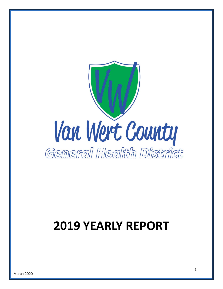

# **YEARLY REPORT**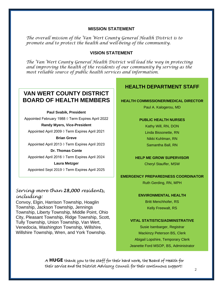#### **MISSION STATEMENT**

*The overall mission of the Van Wert County General Health District is to promote and to protect the health and well-being of the community.*

### **VISION STATEMENT**

*The Van Wert County General Health District will lead the way in protecting and improving the health of the residents of our community by serving as the most reliable source of public health services and information*.

# **VAN WERT COUNTY DISTRICT BOARD OF HEALTH MEMBERS**

**Paul Svabik, President**

Appointed February 1988 ◊ Term Expires April 2022

**Randy Myers, Vice-President**

Appointed April 2009 ◊ Term Expires April 2021

#### **Brian Greve**

Appointed April 2013 ◊ Term Expires April 2023

**Dr. Thomas Conte** Appointed April 2016 ◊ Term Expires April 2024

#### **Laura Metzger**

Appointed Sept 2019 ◊ Term Expires April 2025

### *Serving more than 28,000 residents, including:*

Convoy, Elgin, Harrison Township, Hoaglin Township, Jackson Township, Jennings Township, Liberty Township, Middle Point, Ohio City, Pleasant Township, Ridge Township, Scott, Tully Township, Union Township, Van Wert, Venedocia, Washington Township, Willshire, Willshire Township, Wren, and York Township.

# **HEALTH DEPARTMENT STAFF**

#### **HEALTH COMMISSIONER/MEDICAL DIRECTOR**

Paul A. Kalogerou, MD

#### **PUBLIC HEALTH NURSES**

Kathy Will, RN, DON Linda Bissonette, RN Nikki Kuhlman, RN Samantha Ball, RN

#### **HELP ME GROW SUPERVISOR**

Cheryl Stauffer, MSW

#### **EMERGENCY PREPAREDNESS COORDINATOR**

Ruth Gerding, RN, MPH

#### **ENVIRONMENTAL HEALTH**

Britt Menchhofer, RS Kelly Freewalt, RS

#### **VITAL STATISTICS/ADMINSTRATIVE**

Susie Isenbarger, Registrar Mackinzy Peterson BS, Clerk Abigail Lopshire, Temporary Clerk Jeanette Ford MSOP, BS, Administrator

A  $HUGE$  thank you to the staff for their hard work, the Board of Health for their service and the District Advisory Council for their continuous support!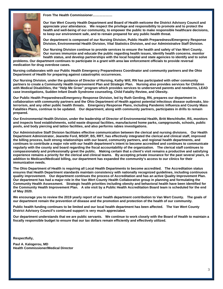**From The Health Commissioner………………**



**Our Van Wert County Health Department and Board of Health welcome the District Advisory Council and appreciate your attendance. We respect the privilege and responsibility to promote and to protect the health and well-being of our community, to empower the public to make responsible healthcare decisions, to keep our environment safe, and to remain prepared for any public health threat.**

**Our department is composed of our Nursing Division, Public Health Preparedness/Emergency Response Division, Environmental Health Division, Vital Statistics Division, and our Administrative Staff Division.**

**Our Nursing Division continue to provide services to ensure the health and safety of Van Wert County. Our nurses immunize and educate the public regarding health issues, identify health concerns, monitor health status, and develop partnerships with the local hospital and state agencies to identify and to solve** 

**problems. Our department continues to participate in a grant with area law enforcement officials to provide reversal medication for drug overdose cases.**

**Nursing collaborates with our Public Health Emergency Preparedness Coordinator and community partners and the Ohio Department of Health for preparing against catastrophic occurrences.**

**Our Nursing Division, under the guidance of Director of Nursing, Kathy Will, RN has participated with other community partners to create a Community Health Improvement Plan and Strategic Plan. Nursing also provides services for Children with Medical Disabilities, the "Help Me Grow" program which provides services to underserved parents and newborns, LEAD case investigations, Sudden Infant Death Syndrome counseling, Child Fatality Review, and Obesity.** 

**Our Public Health Preparedness/Emergency Response Division, led by Ruth Gerding, RN, prepares our department in collaboration with community partners and the Ohio Department of Health against potential infectious disease outbreaks, bioterrorism, and any other public health threats. Emergency Response Plans, including Pandemic Influenza and County Mass Fatalities Plans, continue to be updated. Our department, along with community partners, participates in drills to remain prepared.**

**Our Environmental Health Division, under the leadership of Director of Environmental Health, Britt Menchhofer, RS, monitors and inspects food establishments, solid waste disposal facilities, manufactured home parks, campgrounds, schools, public pools, and body piercing and tattoo facilities, and also performs rabies investigations.** 

**Our Administrative Staff Division facilitates effective communication between the clerical and nursing divisions. Our Health Department Administrator, Jeanette Ford, MSOP, BS, RRT, has effectively integrated the clerical and clinical staff, improved the billing process, built strong relationships with our board, community partners, and regional health departments, and continues to contribute a major role with our health department's intent to become accredited and continues to communicate regularly with the county and board regarding the fiscal accountability of the organization. The clerical staff continues to compassionately and professionally greet the public. Making certain that a client's visit remains a productive and satisfying experience remains a priority for the clerical and clinical teams. By accepting private insurance for the past several years, in addition to Medicare/Medicaid billing, our department has expanded the community's access to our clinics for their immunization needs.**

**The Ohio Department of Health is requiring all Local Health Departments to become accredited. The Accreditation status ensures that Health Department standards maintain consistency with nationally recognized guidelines, including continuous quality improvement. Our department continues the process of Accreditation and has an active Quality Improvement Plan. Our department has had a major role in the Van Wert County Health Collaborative group in planning and formulating the Community Health Assessment. Strategic health priorities including obesity and behavioral health have been identified for the Community Health Improvement Plan. A site visit by a Public Health Accreditation Board team is scheduled for the end of May 2020.** 

**We encourage you to review the 2019 yearly report of our health department contribution to Van Wert County. The goals of our department remain the prevention of disease and the promotion and protection of the health of our community.**

**Public health funding continues to be limited and our local health department has been affected. The Van Wert County District Advisory Council's continued support is very much appreciated.**

**Our department understands that we are public servants. We continue to work closely with the Board of Health to maintain a fiscally responsible budget to ensure that our tax dollars remain efficiently and effectively utilized.**

**Respectfully,**

**Paul A. Kalogerou, MD Health Commissioner/Medical Director**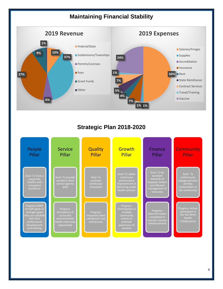# **Maintaining Financial Stability**



# **Strategic Plan 2018-2020**

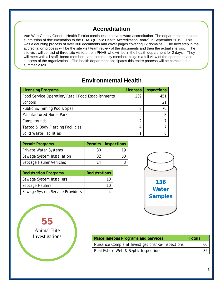# **Accreditation**

Van Wert County General Health District continues to strive toward accreditation. The department completed submission of documentation to the PHAB (Public Health Accreditation Board) in September 2019. This was a daunting process of over 300 documents and cover pages covering 12 domains. The next step in the accreditation process will be the site visit team review of the documents and then the actual site visit. The site visit will consist of three site visitors from PHAB who will be in the health department for 2 days. They will meet with all staff, board members, and community members to gain a full view of the operations and success of the organization. The health department anticipates this entire process will be completed in summer 2020.

# **Environmental Health**

| <b>Licensing Programs</b>                         | <b>Licenses</b> | <b>Inspections</b> |
|---------------------------------------------------|-----------------|--------------------|
| Food Service Operation/Retail Food Establishments | 239             | 451                |
| <b>Schools</b>                                    |                 | 21                 |
| Public Swimming Pools/Spas                        | 8               | 76                 |
| Manufactured Home Parks                           |                 | 8                  |
| Campgrounds                                       | 2               |                    |
| Tattoo & Body Piercing Facilities                 | 4               |                    |
| Solid Waste Facilities                            |                 | h                  |

| <b>Permit Programs</b>     | Permits | Inspections |
|----------------------------|---------|-------------|
| Private Water Systems      | 30      |             |
| Sewage System Installation | 32      |             |
| Septage Hauler Vehicles    | 14      |             |

| <b>Registration Programs</b>    | Registrations |
|---------------------------------|---------------|
| Sewage System Installers        |               |
| Septage Haulers                 |               |
| Sewage System Service Providers |               |



55 Animal Bite **Investigations** 

| <b>Miscellaneous Programs and Services</b>       | Totals |    |
|--------------------------------------------------|--------|----|
| Nuisance Complaint Investigations/Re-inspections |        | 60 |
| Real Estate Well & Septic Inspections            |        | 35 |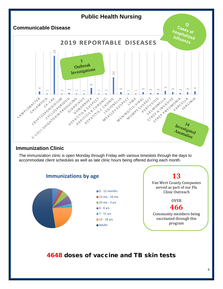

### **Immunization Clinic**

The immunization clinic is open Monday through Friday with various timeslots through the days to accommodate client schedules as well as late clinic hours being offered during each month.



4648 doses of vaccine and TB skin tests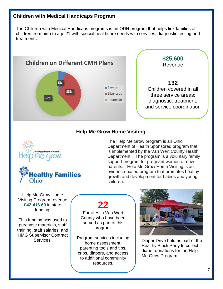### **Children with Medical Handicaps Program**

The Children with Medical Handicaps programs is an ODH program that helps link families of children from birth to age 21 with special healthcare needs with services, diagnostic testing and treatments.



### **Help Me Grow Home Visiting**





The Help Me Grow program is an Ohio Department of Health Sponsored program that is implemented by the Van Wert County Health Department. The program is a voluntary family support program for pregnant women or new parents. Help Me Grow Home Visiting is an evidence-based program that promotes healthy growth and development for babies and young children.

Help Me Grow Home Visiting Program revenue **\$42,416.60** in state funding.

This funding was used to purchase materials, staff training, staff salaries, and HMG Supervisor Contract **Services** 

# **22**

Families in Van Wert County who have been served as part of this program.

Program services including home assessment, parenting tools and tips, cribs, diapers, and access to additional community resources.



Diaper Drive held as part of the Healthy Block Party to collect diaper donations for the Help Me Grow Program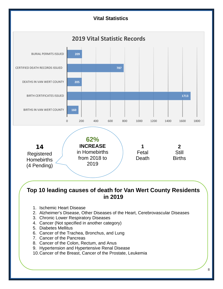

**in 2019**

- 1. Ischemic Heart Disease
- 2. Alzheimer's Disease, Other Diseases of the Heart, Cerebrovascular Diseases
- 3. Chronic Lower Respiratory Diseases
- 4. Cancer (Not specified in another category)
- 5. Diabetes Mellitus
- 6. Cancer of the Trachea, Bronchus, and Lung
- 7. Cancer of the Pancreas
- 8. Cancer of the Colon, Rectum, and Anus
- 9. Hypertension and Hypertensive Renal Disease
- 10.Cancer of the Breast, Cancer of the Prostate, Leukemia